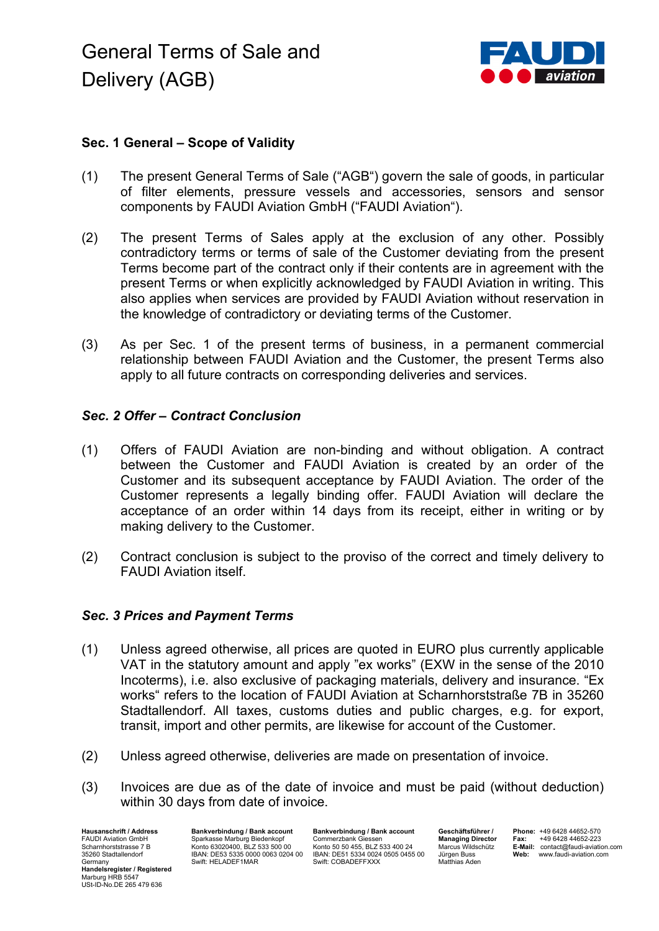

# **Sec. 1 General – Scope of Validity**

- (1) The present General Terms of Sale ("AGB") govern the sale of goods, in particular of filter elements, pressure vessels and accessories, sensors and sensor components by FAUDI Aviation GmbH ("FAUDI Aviation").
- (2) The present Terms of Sales apply at the exclusion of any other. Possibly contradictory terms or terms of sale of the Customer deviating from the present Terms become part of the contract only if their contents are in agreement with the present Terms or when explicitly acknowledged by FAUDI Aviation in writing. This also applies when services are provided by FAUDI Aviation without reservation in the knowledge of contradictory or deviating terms of the Customer.
- (3) As per Sec. 1 of the present terms of business, in a permanent commercial relationship between FAUDI Aviation and the Customer, the present Terms also apply to all future contracts on corresponding deliveries and services.

## *Sec. 2 Offer – Contract Conclusion*

- (1) Offers of FAUDI Aviation are non-binding and without obligation. A contract between the Customer and FAUDI Aviation is created by an order of the Customer and its subsequent acceptance by FAUDI Aviation. The order of the Customer represents a legally binding offer. FAUDI Aviation will declare the acceptance of an order within 14 days from its receipt, either in writing or by making delivery to the Customer.
- (2) Contract conclusion is subject to the proviso of the correct and timely delivery to FAUDI Aviation itself.

## *Sec. 3 Prices and Payment Terms*

- (1) Unless agreed otherwise, all prices are quoted in EURO plus currently applicable VAT in the statutory amount and apply "ex works" (EXW in the sense of the 2010 Incoterms), i.e. also exclusive of packaging materials, delivery and insurance. "Ex works" refers to the location of FAUDI Aviation at Scharnhorststraße 7B in 35260 Stadtallendorf. All taxes, customs duties and public charges, e.g. for export, transit, import and other permits, are likewise for account of the Customer.
- (2) Unless agreed otherwise, deliveries are made on presentation of invoice.
- (3) Invoices are due as of the date of invoice and must be paid (without deduction) within 30 days from date of invoice.

**Hausanschrift / Address** FAUDI Aviation GmbH Scharnhorststrasse 7 B 35260 Stadtallendorf Germany **Handelsregister / Registered** Marburg HRB 5547 USt-ID-No.DE 265 479 636

**Bankverbindung / Bank account** Sparkasse Marburg Biedenkopf Konto 63020400, BLZ 533 500 00 IBAN: DE53 5335 0000 0063 0204 00 Swift: HELADEF1MAR

**Bankverbindung / Bank account** Commerzbank Giessen Konto 50 50 455, BLZ 533 400 24 IBAN: DE51 5334 0024 0505 0455 00 Swift: COBADEFFXXX

**Geschäftsführer / Managing Director** Marcus Wildschütz Jürgen Buss Matthias Aden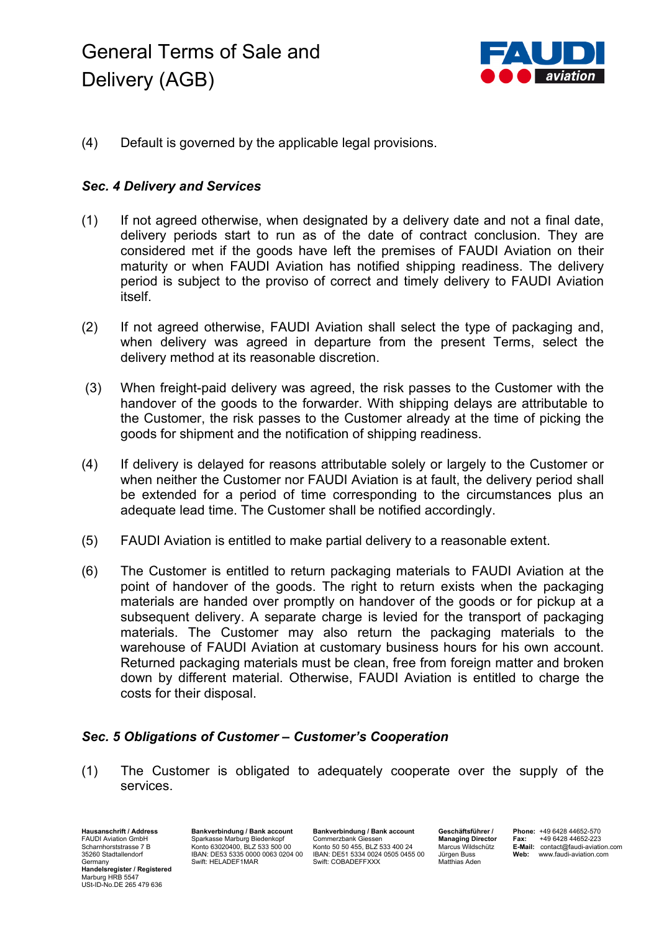# General Terms of Sale and Delivery (AGB)



(4) Default is governed by the applicable legal provisions.

# *Sec. 4 Delivery and Services*

- (1) If not agreed otherwise, when designated by a delivery date and not a final date, delivery periods start to run as of the date of contract conclusion. They are considered met if the goods have left the premises of FAUDI Aviation on their maturity or when FAUDI Aviation has notified shipping readiness. The delivery period is subject to the proviso of correct and timely delivery to FAUDI Aviation itself.
- (2) If not agreed otherwise, FAUDI Aviation shall select the type of packaging and, when delivery was agreed in departure from the present Terms, select the delivery method at its reasonable discretion.
- (3) When freight-paid delivery was agreed, the risk passes to the Customer with the handover of the goods to the forwarder. With shipping delays are attributable to the Customer, the risk passes to the Customer already at the time of picking the goods for shipment and the notification of shipping readiness.
- (4) If delivery is delayed for reasons attributable solely or largely to the Customer or when neither the Customer nor FAUDI Aviation is at fault, the delivery period shall be extended for a period of time corresponding to the circumstances plus an adequate lead time. The Customer shall be notified accordingly.
- (5) FAUDI Aviation is entitled to make partial delivery to a reasonable extent.
- (6) The Customer is entitled to return packaging materials to FAUDI Aviation at the point of handover of the goods. The right to return exists when the packaging materials are handed over promptly on handover of the goods or for pickup at a subsequent delivery. A separate charge is levied for the transport of packaging materials. The Customer may also return the packaging materials to the warehouse of FAUDI Aviation at customary business hours for his own account. Returned packaging materials must be clean, free from foreign matter and broken down by different material. Otherwise, FAUDI Aviation is entitled to charge the costs for their disposal.

## *Sec. 5 Obligations of Customer – Customer's Cooperation*

(1) The Customer is obligated to adequately cooperate over the supply of the services.

**Hausanschrift / Address** FAUDI Aviation GmbH Scharnhorststrasse 7 B 35260 Stadtallendorf Germany **Handelsregister / Registered** Marburg HRB 5547 USt-ID-No.DE 265 479 636

**Bankverbindung / Bank account** Sparkasse Marburg Biedenkopf Konto 63020400, BLZ 533 500 00 IBAN: DE53 5335 0000 0063 0204 00 Swift: HELADEF1MAR

**Bankverbindung / Bank account** Commerzbank Giessen Konto 50 50 455, BLZ 533 400 24 IBAN: DE51 5334 0024 0505 0455 00 Swift: COBADEFFXXX

**Geschäftsführer / Managing Director** Marcus Wildschütz Jürgen Buss Matthias Aden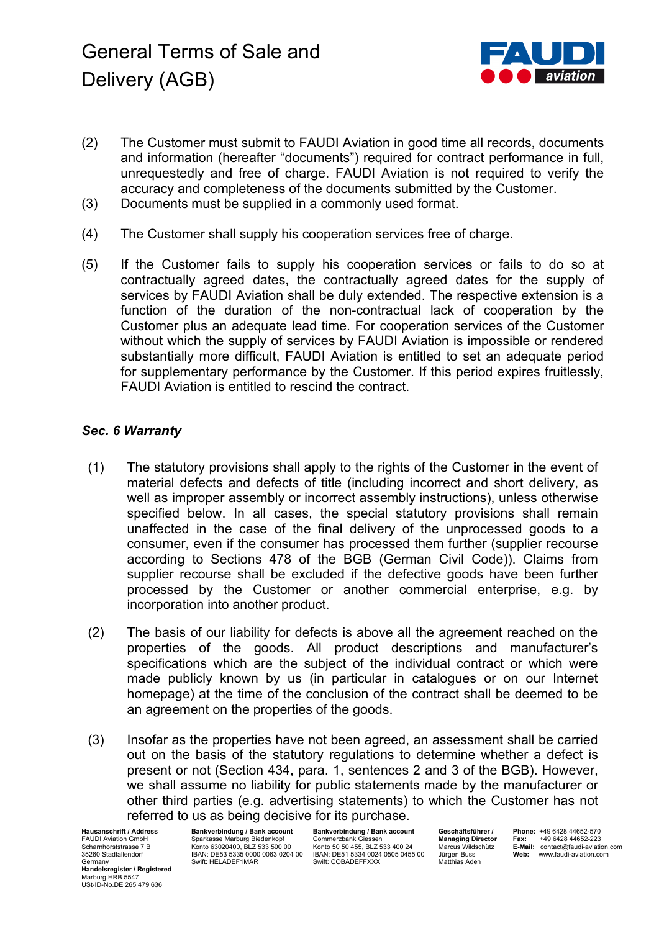

- (2) The Customer must submit to FAUDI Aviation in good time all records, documents and information (hereafter "documents") required for contract performance in full, unrequestedly and free of charge. FAUDI Aviation is not required to verify the accuracy and completeness of the documents submitted by the Customer.
- (3) Documents must be supplied in a commonly used format.
- (4) The Customer shall supply his cooperation services free of charge.
- (5) If the Customer fails to supply his cooperation services or fails to do so at contractually agreed dates, the contractually agreed dates for the supply of services by FAUDI Aviation shall be duly extended. The respective extension is a function of the duration of the non-contractual lack of cooperation by the Customer plus an adequate lead time. For cooperation services of the Customer without which the supply of services by FAUDI Aviation is impossible or rendered substantially more difficult, FAUDI Aviation is entitled to set an adequate period for supplementary performance by the Customer. If this period expires fruitlessly, FAUDI Aviation is entitled to rescind the contract.

# *Sec. 6 Warranty*

- (1) The statutory provisions shall apply to the rights of the Customer in the event of material defects and defects of title (including incorrect and short delivery, as well as improper assembly or incorrect assembly instructions), unless otherwise specified below. In all cases, the special statutory provisions shall remain unaffected in the case of the final delivery of the unprocessed goods to a consumer, even if the consumer has processed them further (supplier recourse according to Sections 478 of the BGB (German Civil Code)). Claims from supplier recourse shall be excluded if the defective goods have been further processed by the Customer or another commercial enterprise, e.g. by incorporation into another product.
- (2) The basis of our liability for defects is above all the agreement reached on the properties of the goods. All product descriptions and manufacturer's specifications which are the subject of the individual contract or which were made publicly known by us (in particular in catalogues or on our Internet homepage) at the time of the conclusion of the contract shall be deemed to be an agreement on the properties of the goods.
- (3) Insofar as the properties have not been agreed, an assessment shall be carried out on the basis of the statutory regulations to determine whether a defect is present or not (Section 434, para. 1, sentences 2 and 3 of the BGB). However, we shall assume no liability for public statements made by the manufacturer or other third parties (e.g. advertising statements) to which the Customer has not referred to us as being decisive for its purchase.

**Hausanschrift / Address** FAUDI Aviation GmbH Scharnhorststrasse 7 B 35260 Stadtallendorf Germany **Handelsregister / Registered** Marburg HRB 5547 USt-ID-No.DE 265 479 636

**Bankverbindung / Bank account** Sparkasse Marburg Biedenkopf Konto 63020400, BLZ 533 500 00 IBAN: DE53 5335 0000 0063 0204 00 Swift: HELADEF1MAR

**Bankverbindung / Bank account** Commerzbank Giessen Konto 50 50 455, BLZ 533 400 24 IBAN: DE51 5334 0024 0505 0455 00 Swift: COBADEFFXXX

**Geschäftsführer / Managing Director** Marcus Wildschütz Jürgen Buss Matthias Aden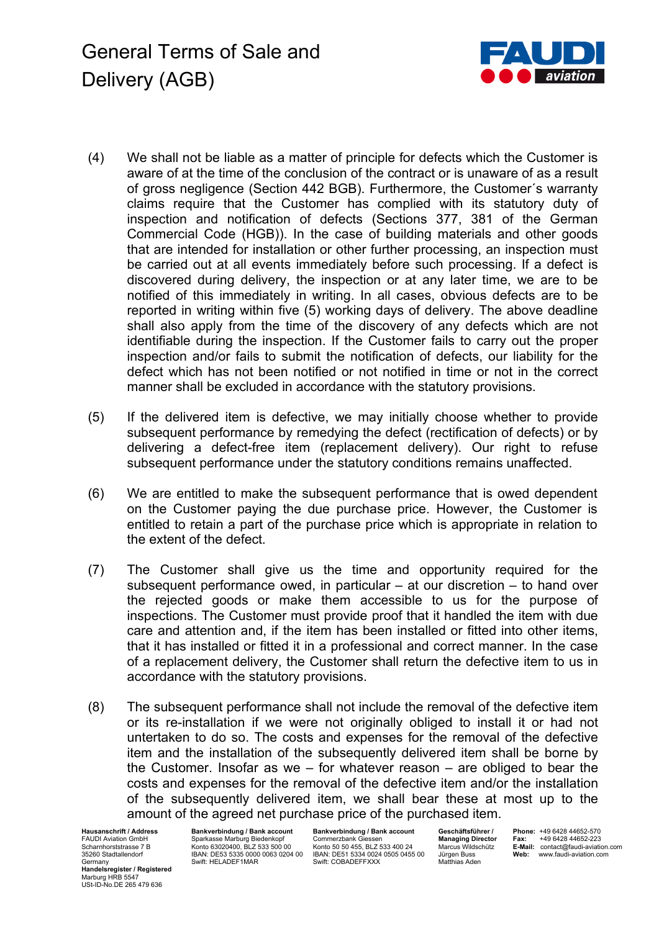General Terms of Sale and Delivery (AGB)



- (4) We shall not be liable as a matter of principle for defects which the Customer is aware of at the time of the conclusion of the contract or is unaware of as a result of gross negligence (Section 442 BGB). Furthermore, the Customer´s warranty claims require that the Customer has complied with its statutory duty of inspection and notification of defects (Sections 377, 381 of the German Commercial Code (HGB)). In the case of building materials and other goods that are intended for installation or other further processing, an inspection must be carried out at all events immediately before such processing. If a defect is discovered during delivery, the inspection or at any later time, we are to be notified of this immediately in writing. In all cases, obvious defects are to be reported in writing within five (5) working days of delivery. The above deadline shall also apply from the time of the discovery of any defects which are not identifiable during the inspection. If the Customer fails to carry out the proper inspection and/or fails to submit the notification of defects, our liability for the defect which has not been notified or not notified in time or not in the correct manner shall be excluded in accordance with the statutory provisions.
- (5) If the delivered item is defective, we may initially choose whether to provide subsequent performance by remedying the defect (rectification of defects) or by delivering a defect-free item (replacement delivery). Our right to refuse subsequent performance under the statutory conditions remains unaffected.
- (6) We are entitled to make the subsequent performance that is owed dependent on the Customer paying the due purchase price. However, the Customer is entitled to retain a part of the purchase price which is appropriate in relation to the extent of the defect.
- (7) The Customer shall give us the time and opportunity required for the subsequent performance owed, in particular  $-$  at our discretion  $-$  to hand over the rejected goods or make them accessible to us for the purpose of inspections. The Customer must provide proof that it handled the item with due care and attention and, if the item has been installed or fitted into other items, that it has installed or fitted it in a professional and correct manner. In the case of a replacement delivery, the Customer shall return the defective item to us in accordance with the statutory provisions.
- (8) The subsequent performance shall not include the removal of the defective item or its re-installation if we were not originally obliged to install it or had not untertaken to do so. The costs and expenses for the removal of the defective item and the installation of the subsequently delivered item shall be borne by the Customer. Insofar as we  $-$  for whatever reason  $-$  are obliged to bear the costs and expenses for the removal of the defective item and/or the installation of the subsequently delivered item, we shall bear these at most up to the amount of the agreed net purchase price of the purchased item.

**Hausanschrift / Address** FAUDI Aviation GmbH Scharnhorststrasse 7 B 35260 Stadtallendorf Germany **Handelsregister / Registered** Marburg HRB 5547 USt-ID-No.DE 265 479 636

**Bankverbindung / Bank account** Sparkasse Marburg Biedenkopf Konto 63020400, BLZ 533 500 00 IBAN: DE53 5335 0000 0063 0204 00 Swift: HELADEF1MAR

**Bankverbindung / Bank account** Commerzbank Giessen Konto 50 50 455, BLZ 533 400 24 IBAN: DE51 5334 0024 0505 0455 00 Swift: COBADEFFXXX

**Geschäftsführer / Managing Director** Marcus Wildschütz Jürgen Buss Matthias Aden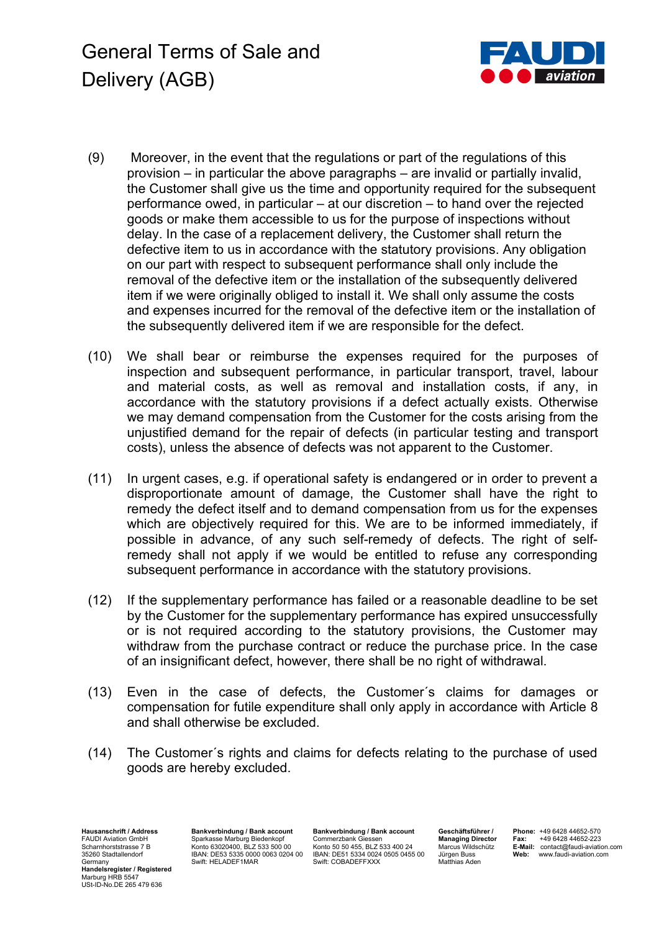General Terms of Sale and Delivery (AGB)



- (9) Moreover, in the event that the regulations or part of the regulations of this provision – in particular the above paragraphs – are invalid or partially invalid, the Customer shall give us the time and opportunity required for the subsequent performance owed, in particular – at our discretion – to hand over the rejected goods or make them accessible to us for the purpose of inspections without delay. In the case of a replacement delivery, the Customer shall return the defective item to us in accordance with the statutory provisions. Any obligation on our part with respect to subsequent performance shall only include the removal of the defective item or the installation of the subsequently delivered item if we were originally obliged to install it. We shall only assume the costs and expenses incurred for the removal of the defective item or the installation of the subsequently delivered item if we are responsible for the defect.
- (10) We shall bear or reimburse the expenses required for the purposes of inspection and subsequent performance, in particular transport, travel, labour and material costs, as well as removal and installation costs, if any, in accordance with the statutory provisions if a defect actually exists. Otherwise we may demand compensation from the Customer for the costs arising from the unjustified demand for the repair of defects (in particular testing and transport costs), unless the absence of defects was not apparent to the Customer.
- (11) In urgent cases, e.g. if operational safety is endangered or in order to prevent a disproportionate amount of damage, the Customer shall have the right to remedy the defect itself and to demand compensation from us for the expenses which are objectively required for this. We are to be informed immediately, if possible in advance, of any such self-remedy of defects. The right of selfremedy shall not apply if we would be entitled to refuse any corresponding subsequent performance in accordance with the statutory provisions.
- (12) If the supplementary performance has failed or a reasonable deadline to be set by the Customer for the supplementary performance has expired unsuccessfully or is not required according to the statutory provisions, the Customer may withdraw from the purchase contract or reduce the purchase price. In the case of an insignificant defect, however, there shall be no right of withdrawal.
- (13) Even in the case of defects, the Customer´s claims for damages or compensation for futile expenditure shall only apply in accordance with Article 8 and shall otherwise be excluded.
- (14) The Customer´s rights and claims for defects relating to the purchase of used goods are hereby excluded.

**Hausanschrift / Address** FAUDI Aviation GmbH Scharnhorststrasse 7 B 35260 Stadtallendorf Germany **Handelsregister / Registered** Marburg HRB 5547 USt-ID-No.DE 265 479 636

**Bankverbindung / Bank account** Sparkasse Marburg Biedenkopf Konto 63020400, BLZ 533 500 00 IBAN: DE53 5335 0000 0063 0204 00 Swift: HELADEF1MAR

**Bankverbindung / Bank account** Commerzbank Giessen Konto 50 50 455, BLZ 533 400 24 IBAN: DE51 5334 0024 0505 0455 00 Swift: COBADEFFXXX

**Geschäftsführer / Managing Director** Marcus Wildschütz Jürgen Buss Matthias Aden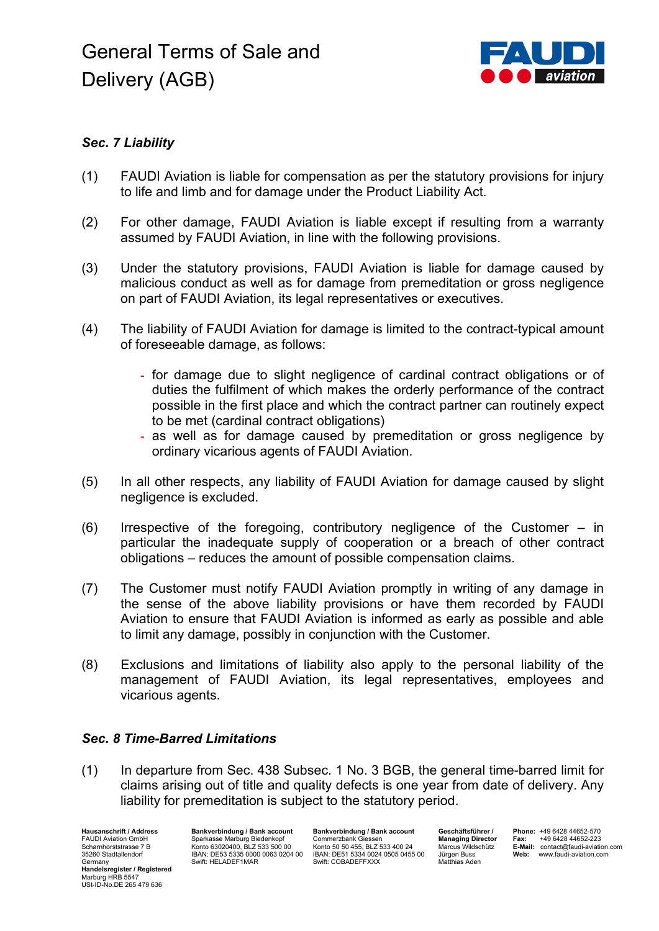

# *Sec. 7 Liability*

- (1) FAUDI Aviation is liable for compensation as per the statutory provisions for injury to life and limb and for damage under the Product Liability Act.
- (2) For other damage, FAUDI Aviation is liable except if resulting from a warranty assumed by FAUDI Aviation, in line with the following provisions.
- (3) Under the statutory provisions, FAUDI Aviation is liable for damage caused by malicious conduct as well as for damage from premeditation or gross negligence on part of FAUDI Aviation, its legal representatives or executives.
- (4) The liability of FAUDI Aviation for damage is limited to the contract-typical amount of foreseeable damage, as follows:
	- for damage due to slight negligence of cardinal contract obligations or of duties the fulfilment of which makes the orderly performance of the contract possible in the first place and which the contract partner can routinely expect to be met (cardinal contract obligations)
	- as well as for damage caused by premeditation or gross negligence by ordinary vicarious agents of FAUDI Aviation.
- (5) In all other respects, any liability of FAUDI Aviation for damage caused by slight negligence is excluded.
- (6) Irrespective of the foregoing, contributory negligence of the Customer in particular the inadequate supply of cooperation or a breach of other contract obligations – reduces the amount of possible compensation claims.
- (7) The Customer must notify FAUDI Aviation promptly in writing of any damage in the sense of the above liability provisions or have them recorded by FAUDI Aviation to ensure that FAUDI Aviation is informed as early as possible and able to limit any damage, possibly in conjunction with the Customer.
- (8) Exclusions and limitations of liability also apply to the personal liability of the management of FAUDI Aviation, its legal representatives, employees and vicarious agents.

## *Sec. 8 Time-Barred Limitations*

(1) In departure from Sec. 438 Subsec. 1 No. 3 BGB, the general time-barred limit for claims arising out of title and quality defects is one year from date of delivery. Any liability for premeditation is subject to the statutory period.

**Hausanschrift / Address** FAUDI Aviation GmbH Scharnhorststrasse 7 B 35260 Stadtallendorf **Germany Handelsregister / Registered** Marburg HRB 5547 USt-ID-No.DE 265 479 636

**Bankverbindung / Bank account** Sparkasse Marburg Biedenkopf Konto 63020400, BLZ 533 500 00 IBAN: DE53 5335 0000 0063 0204 00 Swift: HELADEF1MAR

**Bankverbindung / Bank account** Commerzbank Giessen Konto 50 50 455, BLZ 533 400 24 IBAN: DE51 5334 0024 0505 0455 00 Swift: COBADEFFXXX

**Geschäftsführer / Managing Director** Marcus Wildschütz Jürgen Buss Matthias Aden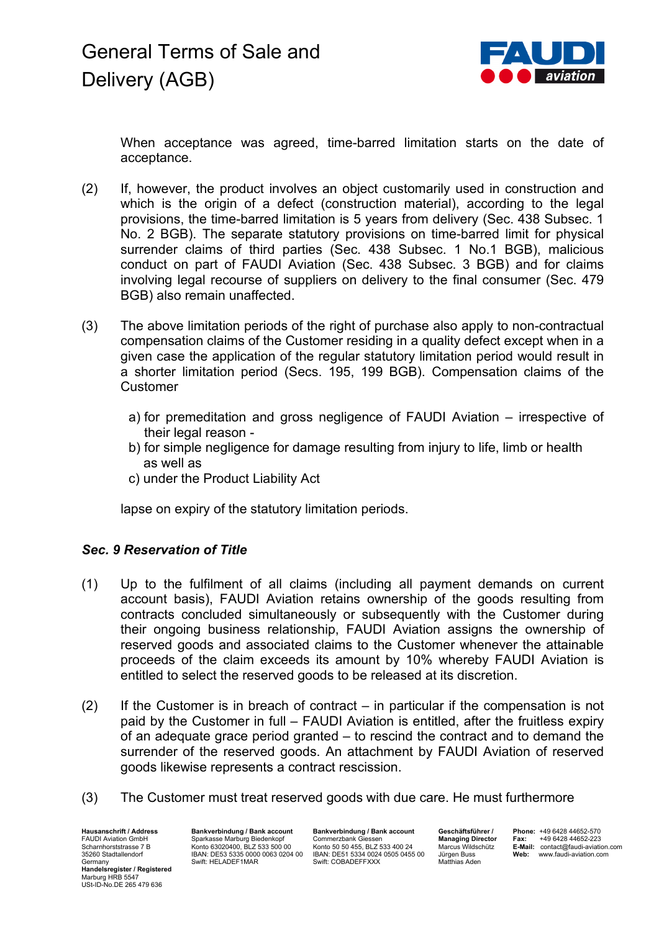

When acceptance was agreed, time-barred limitation starts on the date of acceptance.

- (2) If, however, the product involves an object customarily used in construction and which is the origin of a defect (construction material), according to the legal provisions, the time-barred limitation is 5 years from delivery (Sec. 438 Subsec. 1 No. 2 BGB). The separate statutory provisions on time-barred limit for physical surrender claims of third parties (Sec. 438 Subsec. 1 No.1 BGB), malicious conduct on part of FAUDI Aviation (Sec. 438 Subsec. 3 BGB) and for claims involving legal recourse of suppliers on delivery to the final consumer (Sec. 479 BGB) also remain unaffected.
- (3) The above limitation periods of the right of purchase also apply to non-contractual compensation claims of the Customer residing in a quality defect except when in a given case the application of the regular statutory limitation period would result in a shorter limitation period (Secs. 195, 199 BGB). Compensation claims of the **Customer** 
	- a) for premeditation and gross negligence of FAUDI Aviation irrespective of their legal reason -
	- b) for simple negligence for damage resulting from injury to life, limb or health as well as
	- c) under the Product Liability Act

lapse on expiry of the statutory limitation periods.

## *Sec. 9 Reservation of Title*

- (1) Up to the fulfilment of all claims (including all payment demands on current account basis), FAUDI Aviation retains ownership of the goods resulting from contracts concluded simultaneously or subsequently with the Customer during their ongoing business relationship, FAUDI Aviation assigns the ownership of reserved goods and associated claims to the Customer whenever the attainable proceeds of the claim exceeds its amount by 10% whereby FAUDI Aviation is entitled to select the reserved goods to be released at its discretion.
- $(2)$  If the Customer is in breach of contract in particular if the compensation is not paid by the Customer in full – FAUDI Aviation is entitled, after the fruitless expiry of an adequate grace period granted – to rescind the contract and to demand the surrender of the reserved goods. An attachment by FAUDI Aviation of reserved goods likewise represents a contract rescission.
- (3) The Customer must treat reserved goods with due care. He must furthermore

**Hausanschrift / Address** FAUDI Aviation GmbH Scharnhorststrasse 7 B 35260 Stadtallendorf Germany **Handelsregister / Registered** Marburg HRB 5547 USt-ID-No.DE 265 479 636

**Bankverbindung / Bank account** Sparkasse Marburg Biedenkopf Konto 63020400, BLZ 533 500 00 IBAN: DE53 5335 0000 0063 0204 00 Swift: HELADEF1MAR

**Bankverbindung / Bank account** Commerzbank Giessen Konto 50 50 455, BLZ 533 400 24 IBAN: DE51 5334 0024 0505 0455 00 Swift: COBADEFFXXX

**Geschäftsführer / Managing Director** Marcus Wildschütz Jürgen Buss Matthias Aden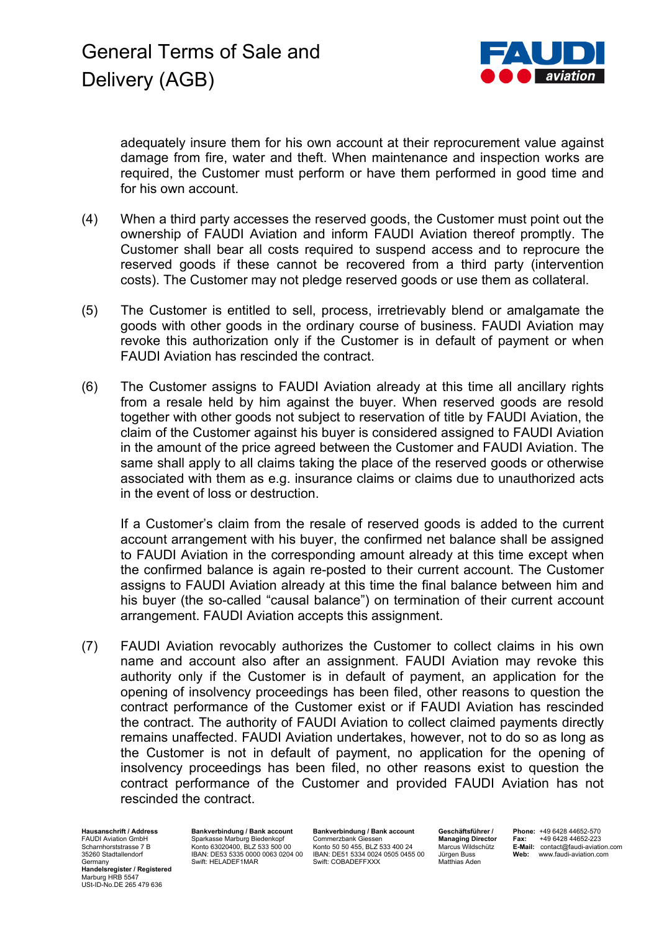

adequately insure them for his own account at their reprocurement value against damage from fire, water and theft. When maintenance and inspection works are required, the Customer must perform or have them performed in good time and for his own account.

- (4) When a third party accesses the reserved goods, the Customer must point out the ownership of FAUDI Aviation and inform FAUDI Aviation thereof promptly. The Customer shall bear all costs required to suspend access and to reprocure the reserved goods if these cannot be recovered from a third party (intervention costs). The Customer may not pledge reserved goods or use them as collateral.
- (5) The Customer is entitled to sell, process, irretrievably blend or amalgamate the goods with other goods in the ordinary course of business. FAUDI Aviation may revoke this authorization only if the Customer is in default of payment or when FAUDI Aviation has rescinded the contract.
- (6) The Customer assigns to FAUDI Aviation already at this time all ancillary rights from a resale held by him against the buyer. When reserved goods are resold together with other goods not subject to reservation of title by FAUDI Aviation, the claim of the Customer against his buyer is considered assigned to FAUDI Aviation in the amount of the price agreed between the Customer and FAUDI Aviation. The same shall apply to all claims taking the place of the reserved goods or otherwise associated with them as e.g. insurance claims or claims due to unauthorized acts in the event of loss or destruction.

If a Customer's claim from the resale of reserved goods is added to the current account arrangement with his buyer, the confirmed net balance shall be assigned to FAUDI Aviation in the corresponding amount already at this time except when the confirmed balance is again re-posted to their current account. The Customer assigns to FAUDI Aviation already at this time the final balance between him and his buyer (the so-called "causal balance") on termination of their current account arrangement. FAUDI Aviation accepts this assignment.

(7) FAUDI Aviation revocably authorizes the Customer to collect claims in his own name and account also after an assignment. FAUDI Aviation may revoke this authority only if the Customer is in default of payment, an application for the opening of insolvency proceedings has been filed, other reasons to question the contract performance of the Customer exist or if FAUDI Aviation has rescinded the contract. The authority of FAUDI Aviation to collect claimed payments directly remains unaffected. FAUDI Aviation undertakes, however, not to do so as long as the Customer is not in default of payment, no application for the opening of insolvency proceedings has been filed, no other reasons exist to question the contract performance of the Customer and provided FAUDI Aviation has not rescinded the contract.

**Hausanschrift / Address** FAUDI Aviation GmbH Scharnhorststrasse 7 B 35260 Stadtallendorf Germany **Handelsregister / Registered** Marburg HRB 5547 USt-ID-No.DE 265 479 636

**Bankverbindung / Bank account** Sparkasse Marburg Biedenkopf Konto 63020400, BLZ 533 500 00 IBAN: DE53 5335 0000 0063 0204 00 Swift: HELADEF1MAR

**Bankverbindung / Bank account** Commerzbank Giessen Konto 50 50 455, BLZ 533 400 24 IBAN: DE51 5334 0024 0505 0455 00 Swift: COBADEFFXXX

**Geschäftsführer / Managing Director** Marcus Wildschütz Jürgen Buss Matthias Aden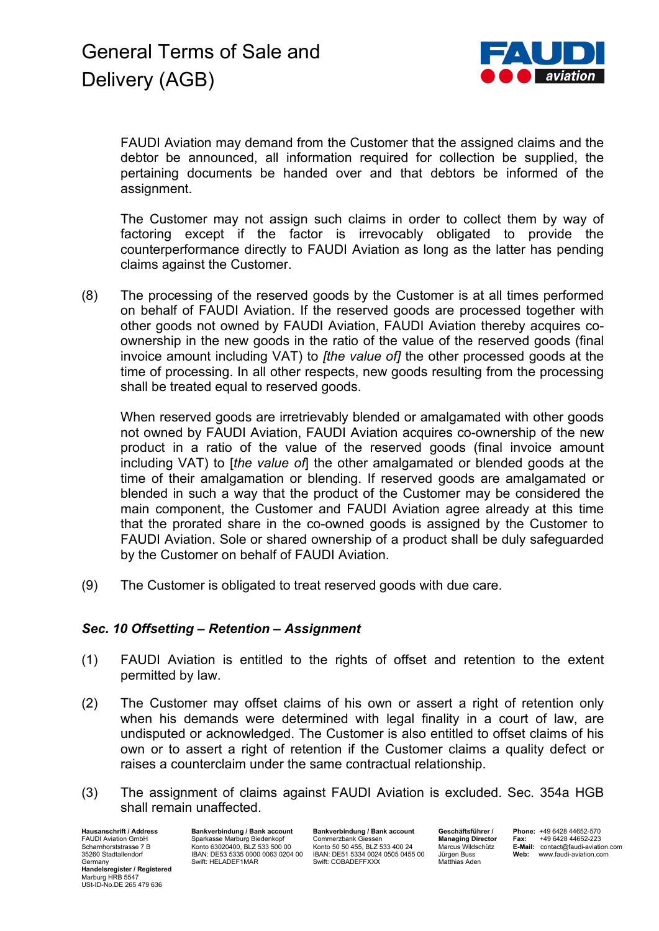

FAUDI Aviation may demand from the Customer that the assigned claims and the debtor be announced, all information required for collection be supplied, the pertaining documents be handed over and that debtors be informed of the assignment.

The Customer may not assign such claims in order to collect them by way of factoring except if the factor is irrevocably obligated to provide the counterperformance directly to FAUDI Aviation as long as the latter has pending claims against the Customer.

(8) The processing of the reserved goods by the Customer is at all times performed on behalf of FAUDI Aviation. If the reserved goods are processed together with other goods not owned by FAUDI Aviation, FAUDI Aviation thereby acquires coownership in the new goods in the ratio of the value of the reserved goods (final invoice amount including VAT) to *[the value of]* the other processed goods at the time of processing. In all other respects, new goods resulting from the processing shall be treated equal to reserved goods.

When reserved goods are irretrievably blended or amalgamated with other goods not owned by FAUDI Aviation, FAUDI Aviation acquires co-ownership of the new product in a ratio of the value of the reserved goods (final invoice amount including VAT) to [*the value of*] the other amalgamated or blended goods at the time of their amalgamation or blending. If reserved goods are amalgamated or blended in such a way that the product of the Customer may be considered the main component, the Customer and FAUDI Aviation agree already at this time that the prorated share in the co-owned goods is assigned by the Customer to FAUDI Aviation. Sole or shared ownership of a product shall be duly safeguarded by the Customer on behalf of FAUDI Aviation.

(9) The Customer is obligated to treat reserved goods with due care.

## *Sec. 10 Offsetting – Retention – Assignment*

- (1) FAUDI Aviation is entitled to the rights of offset and retention to the extent permitted by law.
- (2) The Customer may offset claims of his own or assert a right of retention only when his demands were determined with legal finality in a court of law, are undisputed or acknowledged. The Customer is also entitled to offset claims of his own or to assert a right of retention if the Customer claims a quality defect or raises a counterclaim under the same contractual relationship.
- (3) The assignment of claims against FAUDI Aviation is excluded. Sec. 354a HGB shall remain unaffected.

**Hausanschrift / Address** FAUDI Aviation GmbH Scharnhorststrasse 7 B 35260 Stadtallendorf Germany **Handelsregister / Registered** Marburg HRB 5547 USt-ID-No.DE 265 479 636

**Bankverbindung / Bank account** Sparkasse Marburg Biedenkopf Konto 63020400, BLZ 533 500 00 IBAN: DE53 5335 0000 0063 0204 00 Swift: HELADEF1MAR

**Bankverbindung / Bank account** Commerzbank Giessen Konto 50 50 455, BLZ 533 400 24 IBAN: DE51 5334 0024 0505 0455 00 Swift: COBADEFFXXX

**Geschäftsführer / Managing Director** Marcus Wildschütz Jürgen Buss Matthias Aden